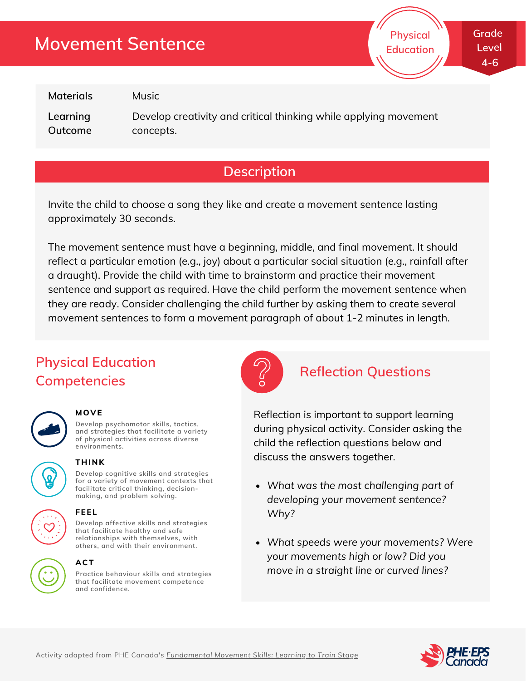# **Movement Sentence**

**Grade Level 4-6**

**Physical Education**

**Materials**

**Learning Outcome** Music

Develop creativity and critical thinking while applying movement concepts.

### **Description**

Invite the child to choose a song they like and create a movement sentence lasting approximately 30 seconds.

The movement sentence must have a beginning, middle, and final movement. It should reflect a particular emotion (e.g., joy) about a particular social situation (e.g., rainfall after a draught). Provide the child with time to brainstorm and practice their movement sentence and support as required. Have the child perform the movement sentence when they are ready. Consider challenging the child further by asking them to create several movement sentences to form a movement paragraph of about 1-2 minutes in length.

## **Physical Education Competencies**



#### **MOVE**

**Develop psychomotor skills, tactics, and strategies that facilitate a variety of physical activities across diverse environments.**



#### **THINK**

**Develop cognitive skills and strategies for a variety of movement contexts that facilitate critical thinking, decision making, and problem solving.**



## **FEEL**

**Develop affective skills and strategies that facilitate healthy and safe relationships with themselves, with others, and with their environment.**

#### **ACT**

**Practice behaviour skills and strategies that facilitate movement competence and confidence.**



#### **Reflection Questions**

Reflection is important to support learning during physical activity. Consider asking the child the reflection questions below and discuss the answers together.

- *What was the most challenging part of developing your movement sentence? Why?*
- *What speeds were your movements? Were your movements high or low? Did you move in a straight line or curved lines?*